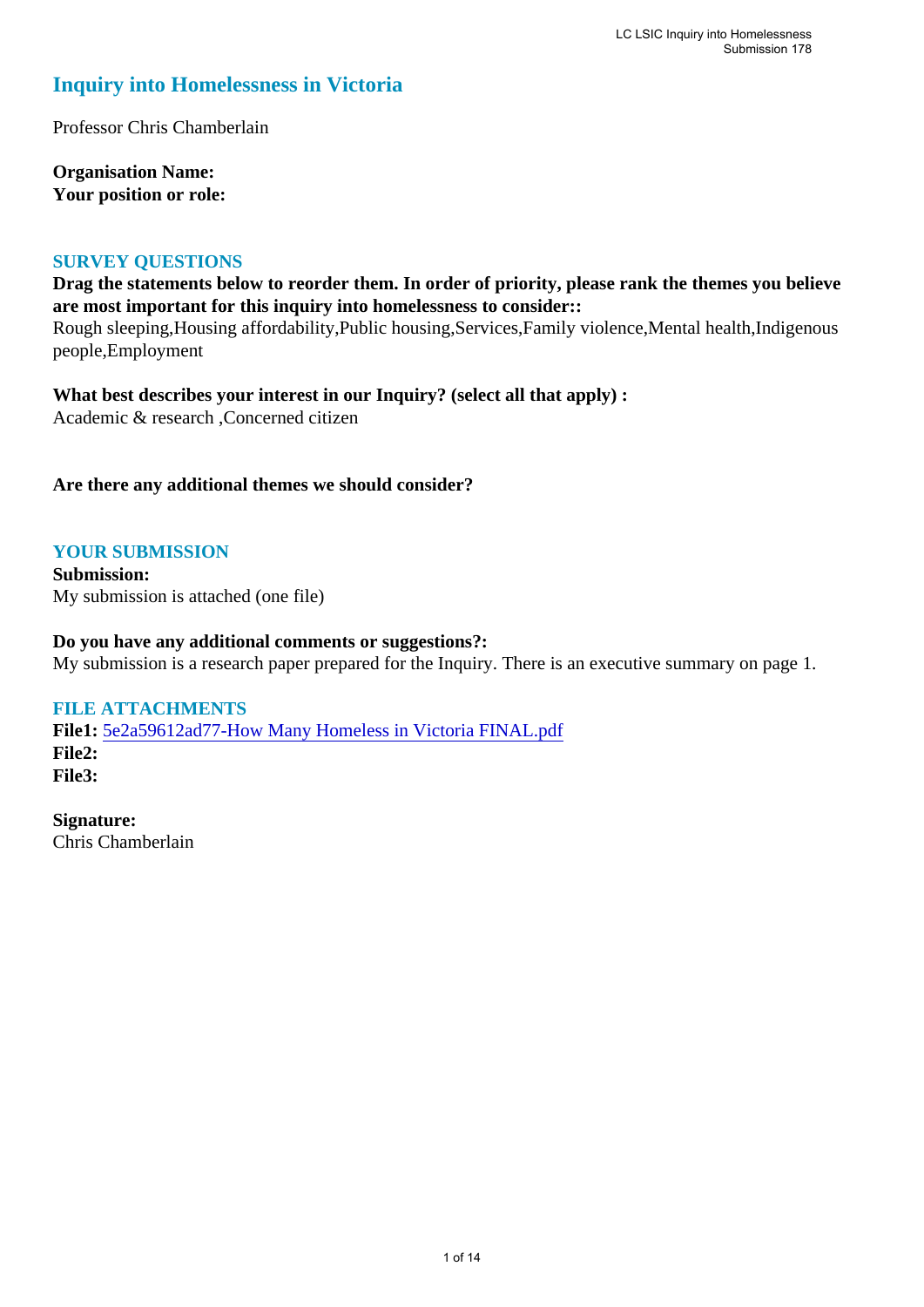#### **Inquiry into Homelessness in Victoria**

Professor Chris Chamberlain

**Organisation Name: Your position or role:** 

#### **SURVEY QUESTIONS**

**Drag the statements below to reorder them. In order of priority, please rank the themes you believe are most important for this inquiry into homelessness to consider::** 

Rough sleeping,Housing affordability,Public housing,Services,Family violence,Mental health,Indigenous people,Employment

**What best describes your interest in our Inquiry? (select all that apply) :**  Academic & research ,Concerned citizen

**Are there any additional themes we should consider?**

#### **YOUR SUBMISSION**

**Submission:**  My submission is attached (one file)

#### **Do you have any additional comments or suggestions?:**

My submission is a research paper prepared for the Inquiry. There is an executive summary on page 1.

#### **FILE ATTACHMENTS**

**File1:** [5e2a59612ad77-How Many Homeless in Victoria FINAL.pdf](https://www.parliament.vic.gov.au/component/rsform/submission-view-file/dc5dc6a4dabe65e8588d9a09fb1f1ae4/ec2deaba9ff1ddca9e265cab4f5fb039?Itemid=527) **File2: File3:** 

**Signature:** Chris Chamberlain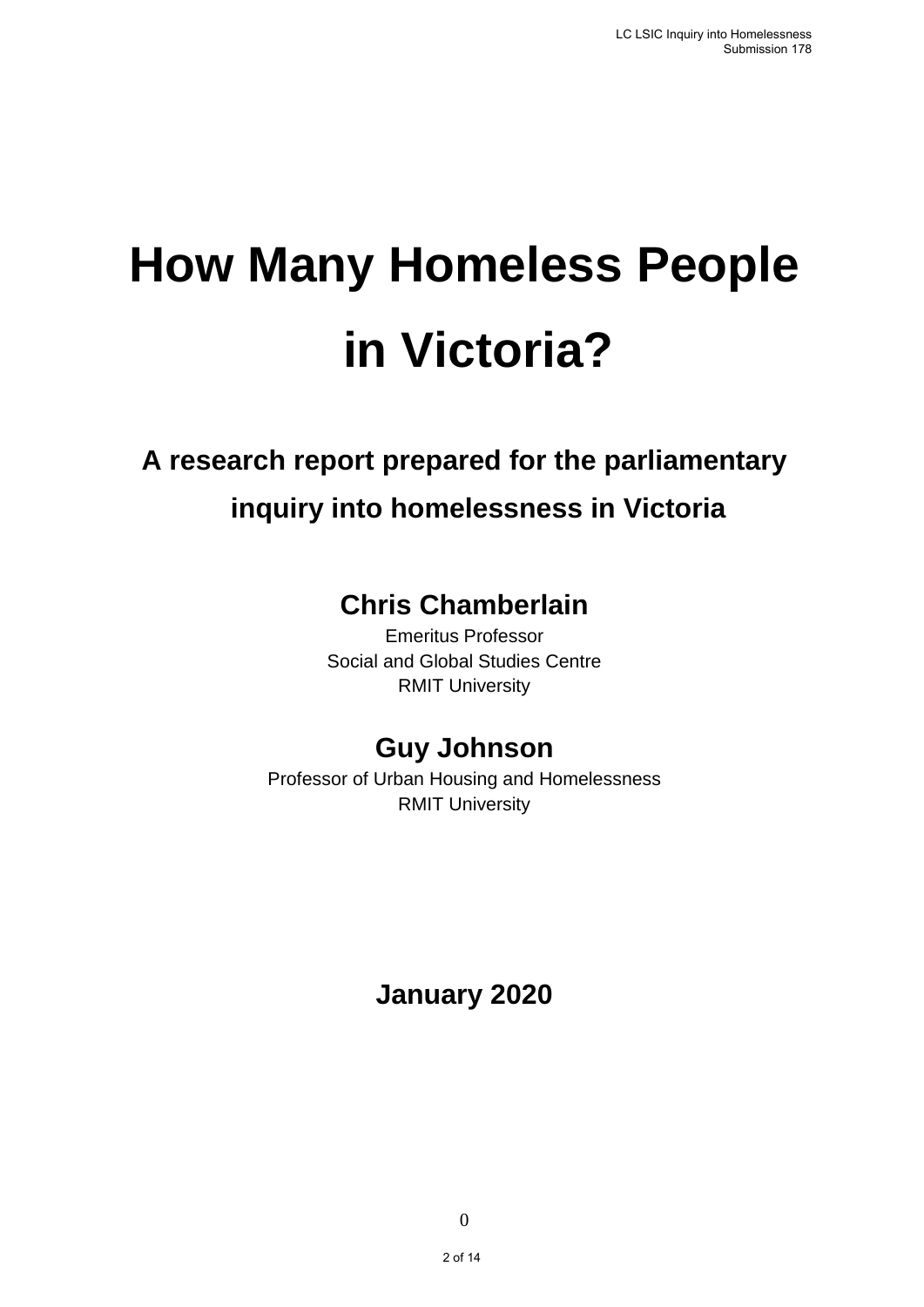# **How Many Homeless People in Victoria?**

## **A research report prepared for the parliamentary inquiry into homelessness in Victoria**

## **Chris Chamberlain**

Emeritus Professor Social and Global Studies Centre RMIT University

## **Guy Johnson**

Professor of Urban Housing and Homelessness RMIT University

**January 2020**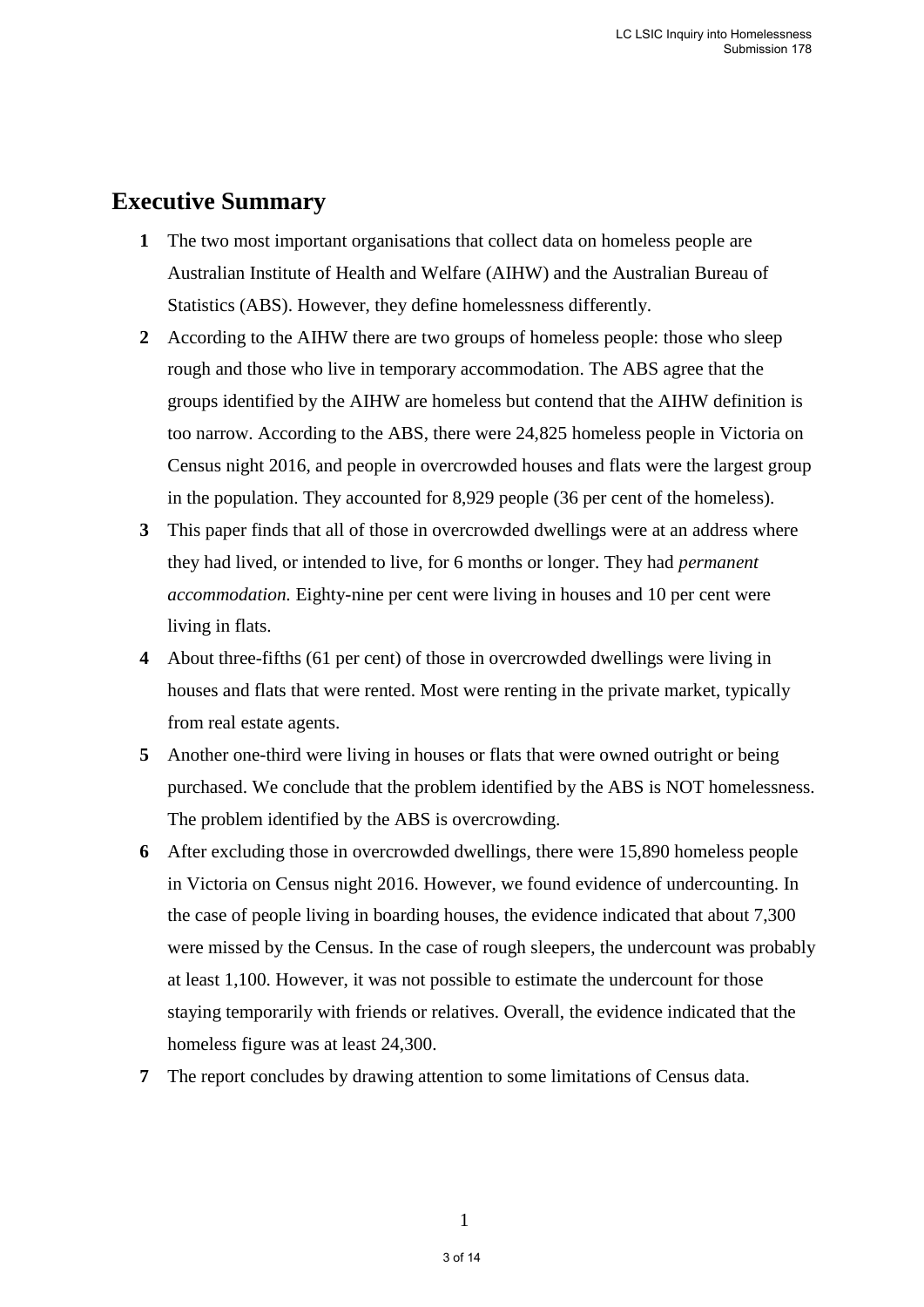#### **Executive Summary**

- **1** The two most important organisations that collect data on homeless people are Australian Institute of Health and Welfare (AIHW) and the Australian Bureau of Statistics (ABS). However, they define homelessness differently.
- **2** According to the AIHW there are two groups of homeless people: those who sleep rough and those who live in temporary accommodation. The ABS agree that the groups identified by the AIHW are homeless but contend that the AIHW definition is too narrow. According to the ABS, there were 24,825 homeless people in Victoria on Census night 2016, and people in overcrowded houses and flats were the largest group in the population. They accounted for 8,929 people (36 per cent of the homeless).
- **3** This paper finds that all of those in overcrowded dwellings were at an address where they had lived, or intended to live, for 6 months or longer. They had *permanent accommodation.* Eighty-nine per cent were living in houses and 10 per cent were living in flats.
- **4** About three-fifths (61 per cent) of those in overcrowded dwellings were living in houses and flats that were rented. Most were renting in the private market, typically from real estate agents.
- **5** Another one-third were living in houses or flats that were owned outright or being purchased. We conclude that the problem identified by the ABS is NOT homelessness. The problem identified by the ABS is overcrowding.
- **6** After excluding those in overcrowded dwellings, there were 15,890 homeless people in Victoria on Census night 2016. However, we found evidence of undercounting. In the case of people living in boarding houses, the evidence indicated that about 7,300 were missed by the Census. In the case of rough sleepers, the undercount was probably at least 1,100. However, it was not possible to estimate the undercount for those staying temporarily with friends or relatives. Overall, the evidence indicated that the homeless figure was at least 24,300.
- **7** The report concludes by drawing attention to some limitations of Census data.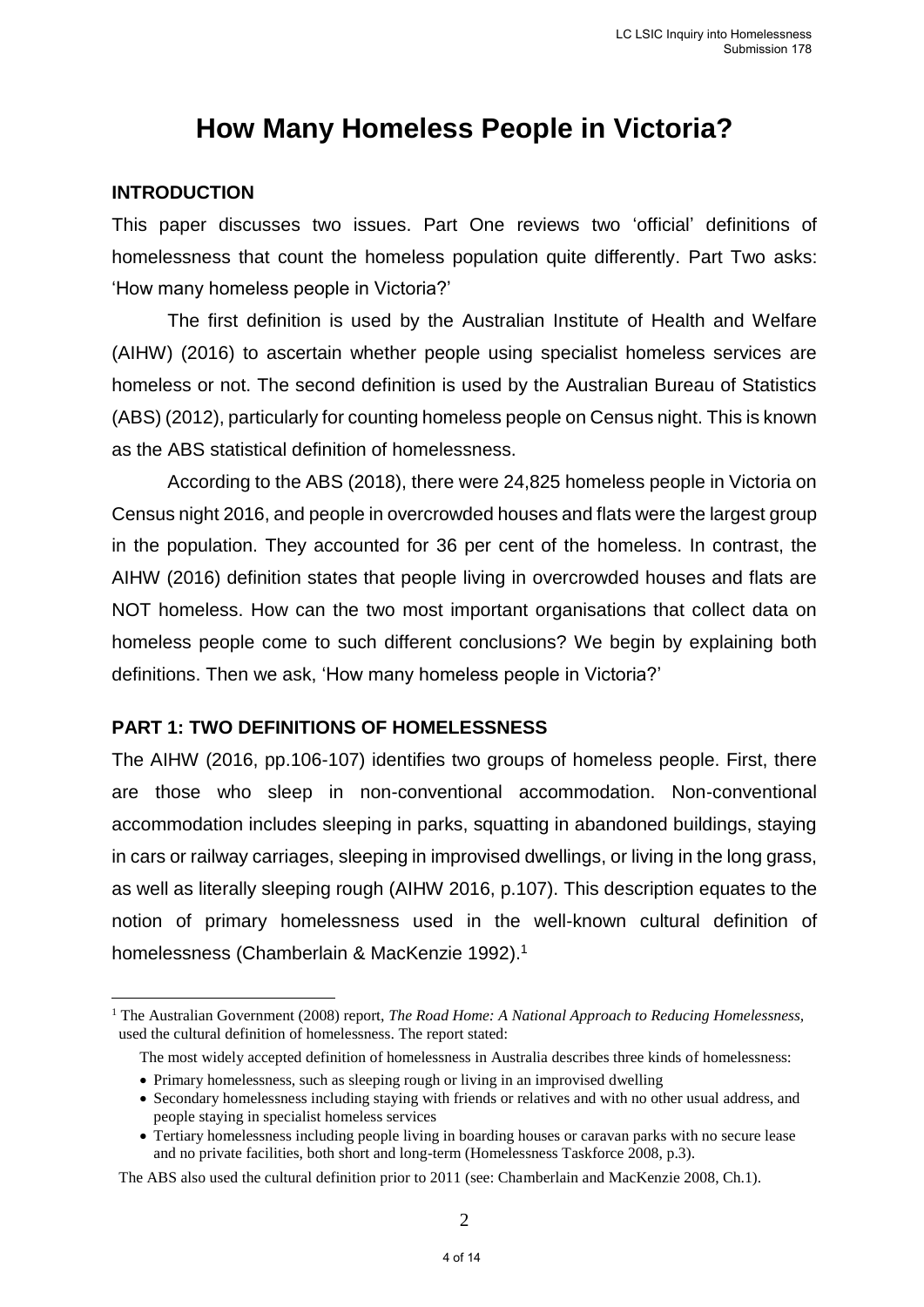### **How Many Homeless People in Victoria?**

#### **INTRODUCTION**

1

This paper discusses two issues. Part One reviews two 'official' definitions of homelessness that count the homeless population quite differently. Part Two asks: 'How many homeless people in Victoria?'

The first definition is used by the Australian Institute of Health and Welfare (AIHW) (2016) to ascertain whether people using specialist homeless services are homeless or not. The second definition is used by the Australian Bureau of Statistics (ABS) (2012), particularly for counting homeless people on Census night. This is known as the ABS statistical definition of homelessness.

According to the ABS (2018), there were 24,825 homeless people in Victoria on Census night 2016, and people in overcrowded houses and flats were the largest group in the population. They accounted for 36 per cent of the homeless. In contrast, the AIHW (2016) definition states that people living in overcrowded houses and flats are NOT homeless. How can the two most important organisations that collect data on homeless people come to such different conclusions? We begin by explaining both definitions. Then we ask, 'How many homeless people in Victoria?'

#### **PART 1: TWO DEFINITIONS OF HOMELESSNESS**

The AIHW (2016, pp.106-107) identifies two groups of homeless people. First, there are those who sleep in non-conventional accommodation. Non-conventional accommodation includes sleeping in parks, squatting in abandoned buildings, staying in cars or railway carriages, sleeping in improvised dwellings, or living in the long grass, as well as literally sleeping rough (AIHW 2016, p.107). This description equates to the notion of primary homelessness used in the well-known cultural definition of homelessness (Chamberlain & MacKenzie 1992).<sup>1</sup>

<sup>1</sup> The Australian Government (2008) report, *The Road Home: A National Approach to Reducing Homelessness,*  used the cultural definition of homelessness. The report stated:

The most widely accepted definition of homelessness in Australia describes three kinds of homelessness:

<sup>•</sup> Primary homelessness, such as sleeping rough or living in an improvised dwelling

<sup>•</sup> Secondary homelessness including staying with friends or relatives and with no other usual address, and people staying in specialist homeless services

<sup>•</sup> Tertiary homelessness including people living in boarding houses or caravan parks with no secure lease and no private facilities, both short and long-term (Homelessness Taskforce 2008, p.3).

The ABS also used the cultural definition prior to 2011 (see: Chamberlain and MacKenzie 2008, Ch.1).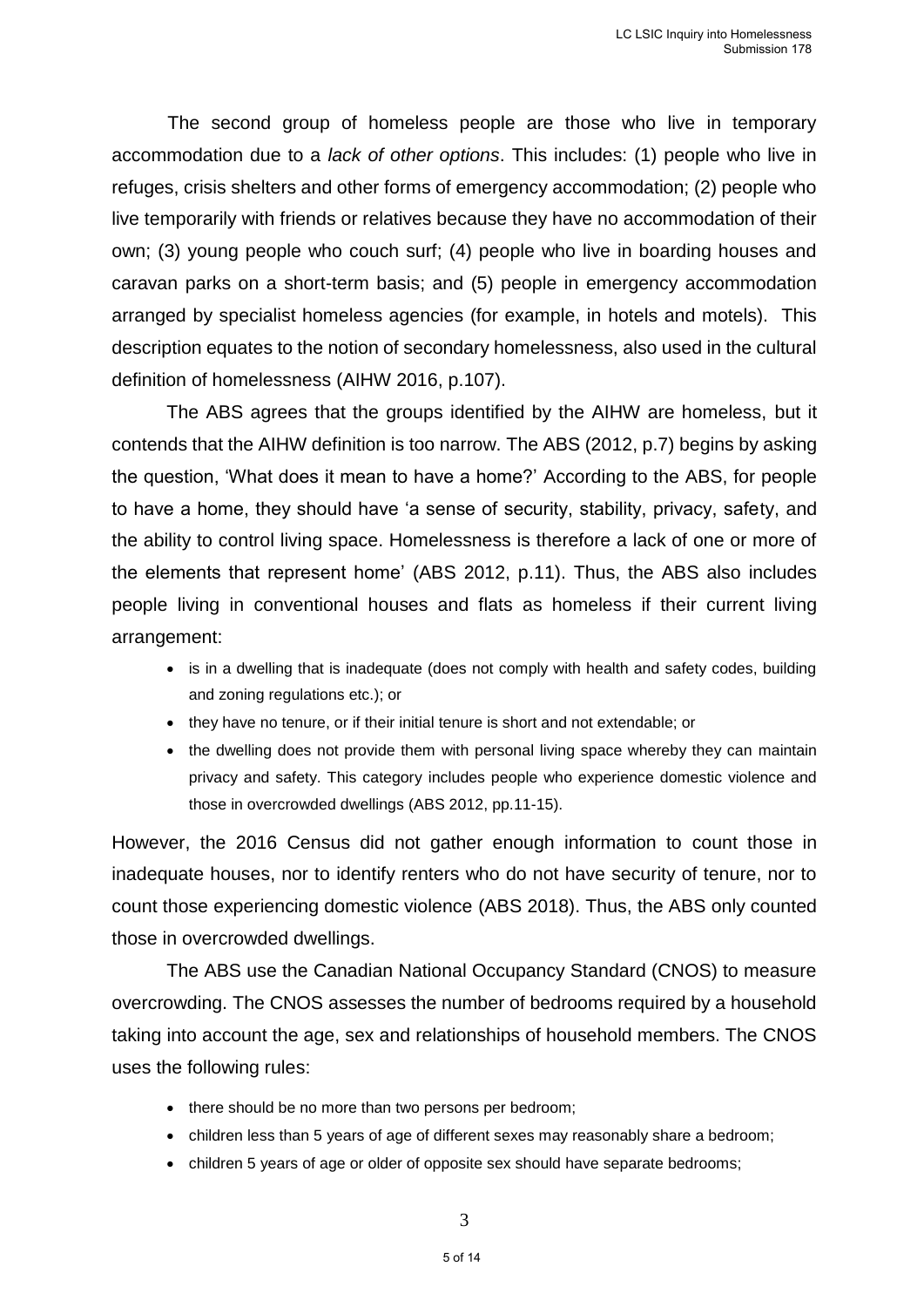The second group of homeless people are those who live in temporary accommodation due to a *lack of other options*. This includes: (1) people who live in refuges, crisis shelters and other forms of emergency accommodation; (2) people who live temporarily with friends or relatives because they have no accommodation of their own; (3) young people who couch surf; (4) people who live in boarding houses and caravan parks on a short-term basis; and (5) people in emergency accommodation arranged by specialist homeless agencies (for example, in hotels and motels). This description equates to the notion of secondary homelessness, also used in the cultural definition of homelessness (AIHW 2016, p.107).

The ABS agrees that the groups identified by the AIHW are homeless, but it contends that the AIHW definition is too narrow. The ABS (2012, p.7) begins by asking the question, 'What does it mean to have a home?' According to the ABS, for people to have a home, they should have 'a sense of security, stability, privacy, safety, and the ability to control living space. Homelessness is therefore a lack of one or more of the elements that represent home' (ABS 2012, p.11). Thus, the ABS also includes people living in conventional houses and flats as homeless if their current living arrangement:

- is in a dwelling that is inadequate (does not comply with health and safety codes, building and zoning regulations etc.); or
- they have no tenure, or if their initial tenure is short and not extendable; or
- the dwelling does not provide them with personal living space whereby they can maintain privacy and safety. This category includes people who experience domestic violence and those in overcrowded dwellings (ABS 2012, pp.11-15).

However, the 2016 Census did not gather enough information to count those in inadequate houses, nor to identify renters who do not have security of tenure, nor to count those experiencing domestic violence (ABS 2018). Thus, the ABS only counted those in overcrowded dwellings.

The ABS use the Canadian National Occupancy Standard (CNOS) to measure overcrowding. The CNOS assesses the number of bedrooms required by a household taking into account the age, sex and relationships of household members. The CNOS uses the following rules:

- there should be no more than two persons per bedroom;
- children less than 5 years of age of different sexes may reasonably share a bedroom;
- children 5 years of age or older of opposite sex should have separate bedrooms;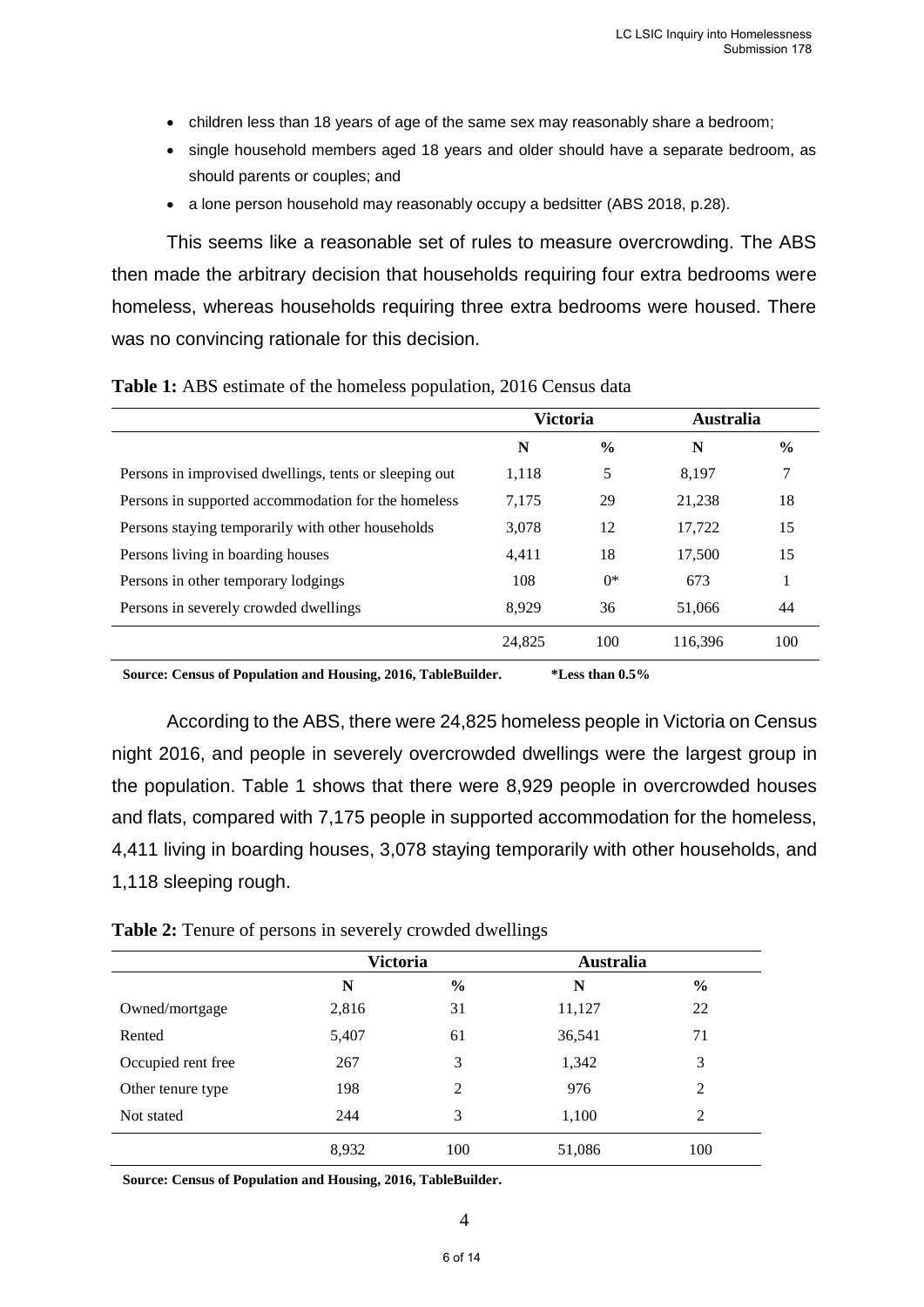- children less than 18 years of age of the same sex may reasonably share a bedroom;
- single household members aged 18 years and older should have a separate bedroom, as should parents or couples; and
- a lone person household may reasonably occupy a bedsitter (ABS 2018, p.28).

This seems like a reasonable set of rules to measure overcrowding. The ABS then made the arbitrary decision that households requiring four extra bedrooms were homeless, whereas households requiring three extra bedrooms were housed. There was no convincing rationale for this decision.

|                                                        | <b>Victoria</b> |               | <b>Australia</b> |               |
|--------------------------------------------------------|-----------------|---------------|------------------|---------------|
|                                                        | N               | $\frac{6}{6}$ | N                | $\frac{6}{9}$ |
| Persons in improvised dwellings, tents or sleeping out | 1,118           | 5             | 8.197            | 7             |
| Persons in supported accommodation for the homeless    | 7,175           | 29            | 21,238           | 18            |
| Persons staying temporarily with other households      | 3,078           | 12            | 17,722           | 15            |
| Persons living in boarding houses                      | 4,411           | 18            | 17,500           | 15            |
| Persons in other temporary lodgings                    | 108             | $0*$          | 673              |               |
| Persons in severely crowded dwellings                  | 8.929           | 36            | 51,066           | 44            |
|                                                        | 24,825          | 100           | 116,396          | 100           |

**Table 1:** ABS estimate of the homeless population, 2016 Census data

**Source: Census of Population and Housing, 2016, TableBuilder. \*Less than 0.5%**

According to the ABS, there were 24,825 homeless people in Victoria on Census night 2016, and people in severely overcrowded dwellings were the largest group in the population. Table 1 shows that there were 8,929 people in overcrowded houses and flats, compared with 7,175 people in supported accommodation for the homeless, 4,411 living in boarding houses, 3,078 staying temporarily with other households, and 1,118 sleeping rough.

|                    | <b>Victoria</b> |               | <b>Australia</b> |               |
|--------------------|-----------------|---------------|------------------|---------------|
|                    | N               | $\frac{6}{9}$ | N                | $\frac{6}{6}$ |
| Owned/mortgage     | 2,816           | 31            | 11,127           | 22            |
| Rented             | 5,407           | 61            | 36,541           | 71            |
| Occupied rent free | 267             | 3             | 1,342            | 3             |
| Other tenure type  | 198             | 2             | 976              | 2             |
| Not stated         | 244             | 3             | 1,100            | 2             |
|                    | 8,932           | 100           | 51,086           | 100           |

**Source: Census of Population and Housing, 2016, TableBuilder.**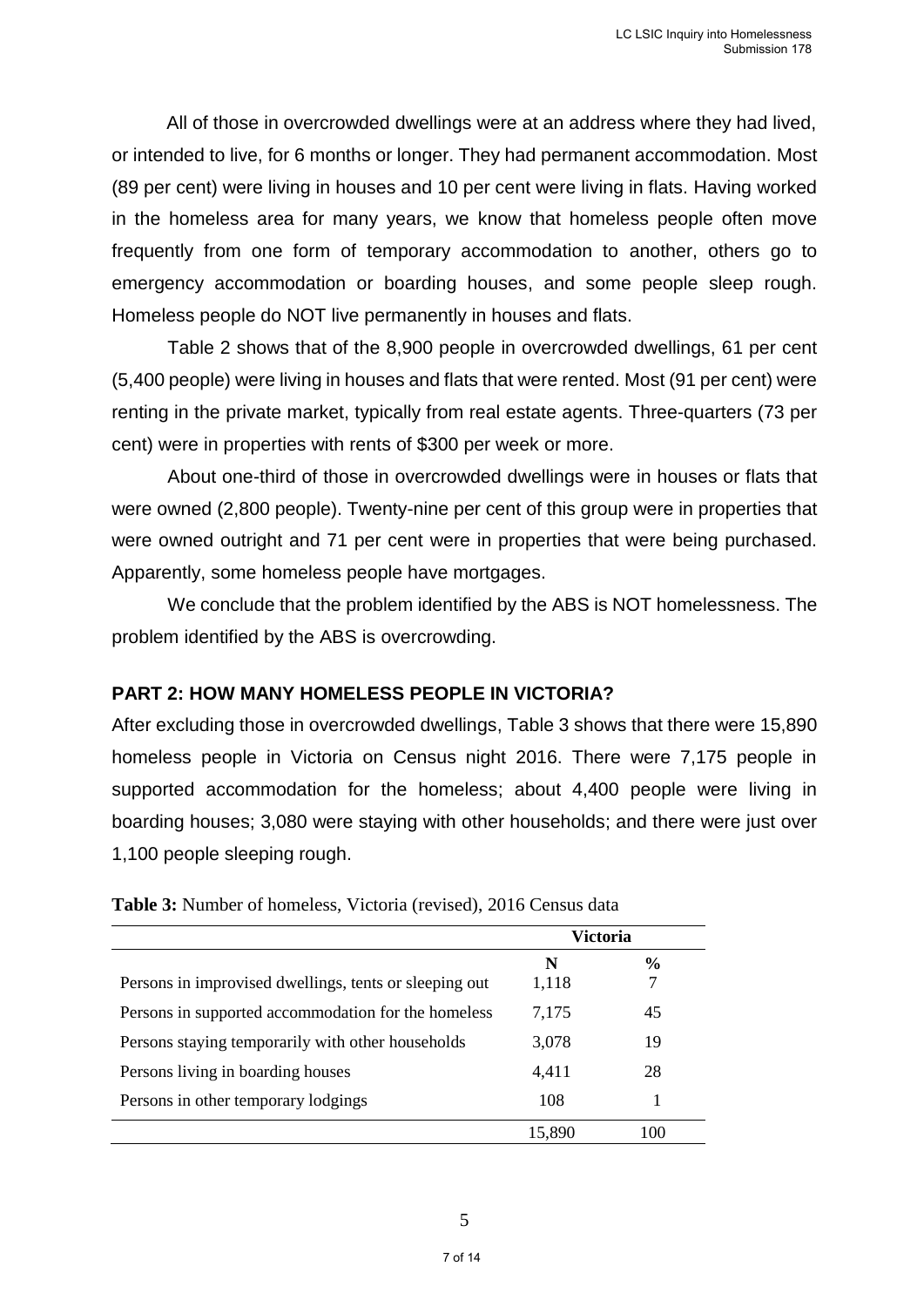All of those in overcrowded dwellings were at an address where they had lived, or intended to live, for 6 months or longer. They had permanent accommodation. Most (89 per cent) were living in houses and 10 per cent were living in flats. Having worked in the homeless area for many years, we know that homeless people often move frequently from one form of temporary accommodation to another, others go to emergency accommodation or boarding houses, and some people sleep rough. Homeless people do NOT live permanently in houses and flats.

Table 2 shows that of the 8,900 people in overcrowded dwellings, 61 per cent (5,400 people) were living in houses and flats that were rented. Most (91 per cent) were renting in the private market, typically from real estate agents. Three-quarters (73 per cent) were in properties with rents of \$300 per week or more.

About one-third of those in overcrowded dwellings were in houses or flats that were owned (2,800 people). Twenty-nine per cent of this group were in properties that were owned outright and 71 per cent were in properties that were being purchased. Apparently, some homeless people have mortgages.

We conclude that the problem identified by the ABS is NOT homelessness. The problem identified by the ABS is overcrowding.

#### **PART 2: HOW MANY HOMELESS PEOPLE IN VICTORIA?**

After excluding those in overcrowded dwellings, Table 3 shows that there were 15,890 homeless people in Victoria on Census night 2016. There were 7,175 people in supported accommodation for the homeless; about 4,400 people were living in boarding houses; 3,080 were staying with other households; and there were just over 1,100 people sleeping rough.

|                                                        | Victoria |               |  |
|--------------------------------------------------------|----------|---------------|--|
|                                                        | N        | $\frac{6}{9}$ |  |
| Persons in improvised dwellings, tents or sleeping out | 1,118    | 7             |  |
| Persons in supported accommodation for the homeless    | 7,175    | 45            |  |
| Persons staying temporarily with other households      | 3,078    | 19            |  |
| Persons living in boarding houses                      | 4,411    | 28            |  |
| Persons in other temporary lodgings                    | 108      |               |  |
|                                                        | 15,890   | 100           |  |

**Table 3:** Number of homeless, Victoria (revised), 2016 Census data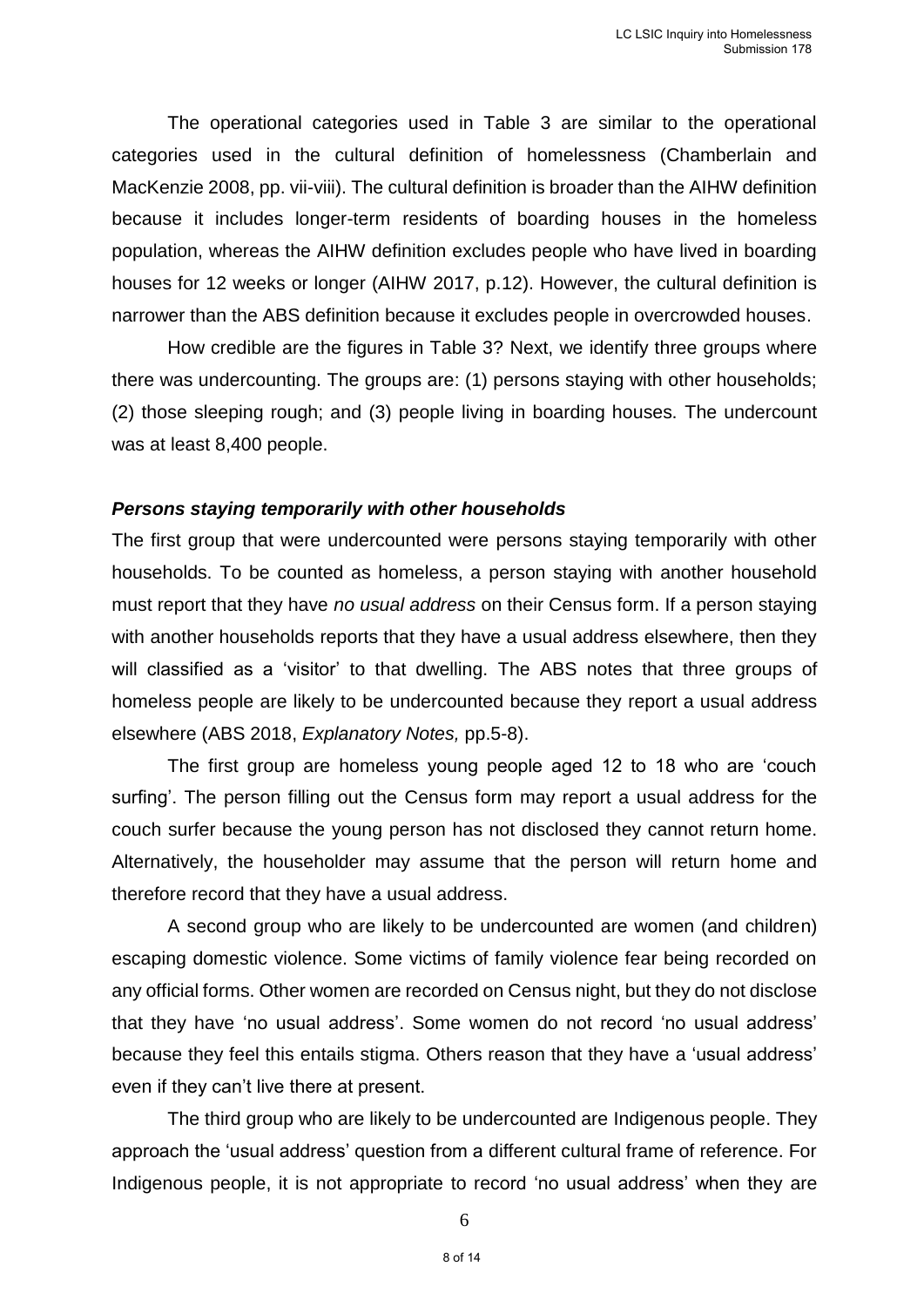The operational categories used in Table 3 are similar to the operational categories used in the cultural definition of homelessness (Chamberlain and MacKenzie 2008, pp. vii-viii). The cultural definition is broader than the AIHW definition because it includes longer-term residents of boarding houses in the homeless population, whereas the AIHW definition excludes people who have lived in boarding houses for 12 weeks or longer (AIHW 2017, p.12). However, the cultural definition is narrower than the ABS definition because it excludes people in overcrowded houses.

How credible are the figures in Table 3? Next, we identify three groups where there was undercounting. The groups are: (1) persons staying with other households; (2) those sleeping rough; and (3) people living in boarding houses. The undercount was at least 8,400 people.

#### *Persons staying temporarily with other households*

The first group that were undercounted were persons staying temporarily with other households. To be counted as homeless, a person staying with another household must report that they have *no usual address* on their Census form. If a person staying with another households reports that they have a usual address elsewhere, then they will classified as a 'visitor' to that dwelling. The ABS notes that three groups of homeless people are likely to be undercounted because they report a usual address elsewhere (ABS 2018, *Explanatory Notes,* pp.5-8).

The first group are homeless young people aged 12 to 18 who are 'couch surfing'. The person filling out the Census form may report a usual address for the couch surfer because the young person has not disclosed they cannot return home. Alternatively, the householder may assume that the person will return home and therefore record that they have a usual address.

A second group who are likely to be undercounted are women (and children) escaping domestic violence. Some victims of family violence fear being recorded on any official forms. Other women are recorded on Census night, but they do not disclose that they have 'no usual address'. Some women do not record 'no usual address' because they feel this entails stigma. Others reason that they have a 'usual address' even if they can't live there at present.

The third group who are likely to be undercounted are Indigenous people. They approach the 'usual address' question from a different cultural frame of reference. For Indigenous people, it is not appropriate to record 'no usual address' when they are

6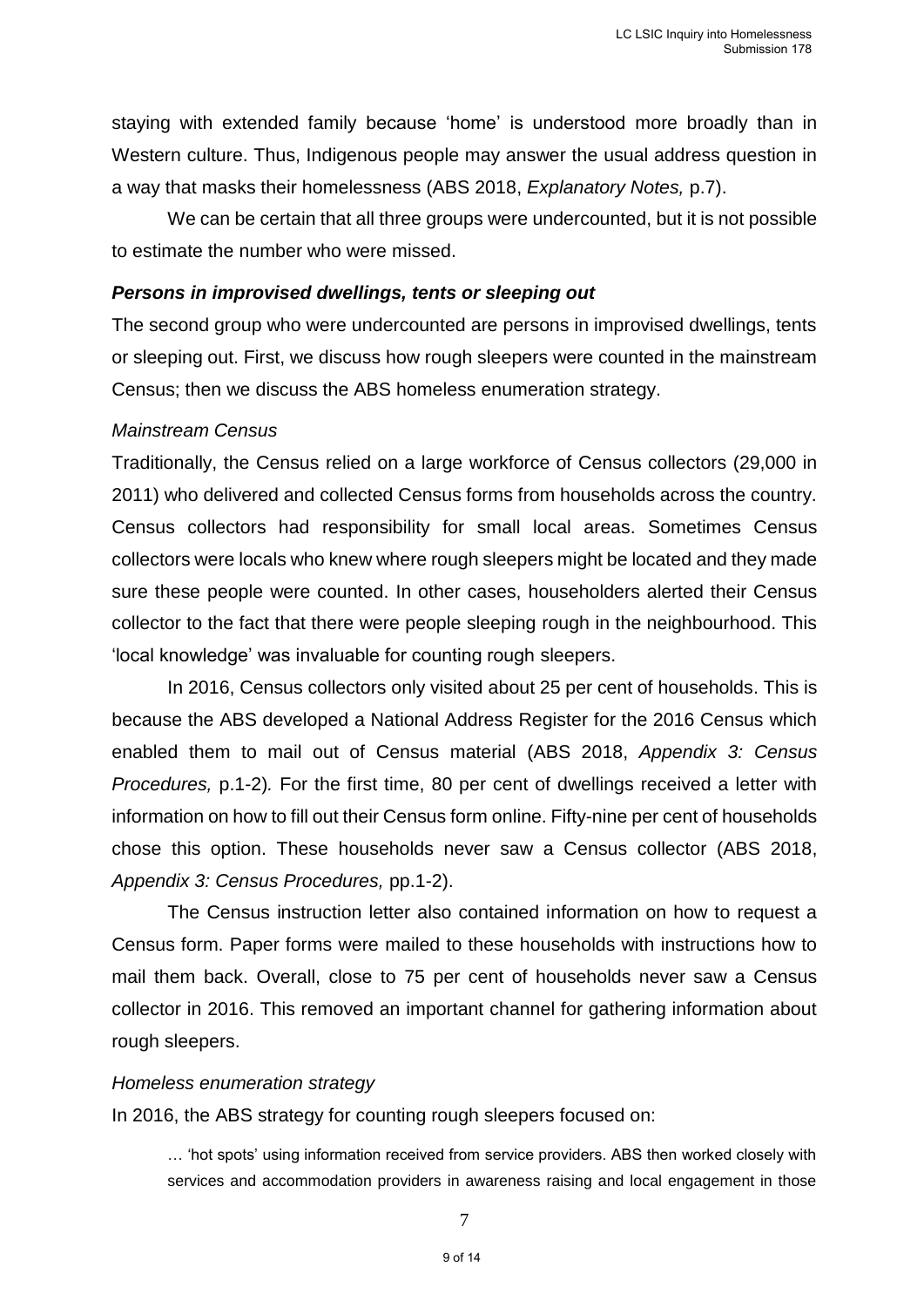staying with extended family because 'home' is understood more broadly than in Western culture. Thus, Indigenous people may answer the usual address question in a way that masks their homelessness (ABS 2018, *Explanatory Notes,* p.7).

We can be certain that all three groups were undercounted, but it is not possible to estimate the number who were missed.

#### *Persons in improvised dwellings, tents or sleeping out*

The second group who were undercounted are persons in improvised dwellings, tents or sleeping out. First, we discuss how rough sleepers were counted in the mainstream Census; then we discuss the ABS homeless enumeration strategy.

#### *Mainstream Census*

Traditionally, the Census relied on a large workforce of Census collectors (29,000 in 2011) who delivered and collected Census forms from households across the country. Census collectors had responsibility for small local areas. Sometimes Census collectors were locals who knew where rough sleepers might be located and they made sure these people were counted. In other cases, householders alerted their Census collector to the fact that there were people sleeping rough in the neighbourhood. This 'local knowledge' was invaluable for counting rough sleepers.

In 2016, Census collectors only visited about 25 per cent of households. This is because the ABS developed a National Address Register for the 2016 Census which enabled them to mail out of Census material (ABS 2018, *Appendix 3: Census Procedures,* p.1-2)*.* For the first time, 80 per cent of dwellings received a letter with information on how to fill out their Census form online. Fifty-nine per cent of households chose this option. These households never saw a Census collector (ABS 2018, *Appendix 3: Census Procedures,* pp.1-2).

The Census instruction letter also contained information on how to request a Census form. Paper forms were mailed to these households with instructions how to mail them back. Overall, close to 75 per cent of households never saw a Census collector in 2016. This removed an important channel for gathering information about rough sleepers.

#### *Homeless enumeration strategy*

In 2016, the ABS strategy for counting rough sleepers focused on:

… 'hot spots' using information received from service providers. ABS then worked closely with services and accommodation providers in awareness raising and local engagement in those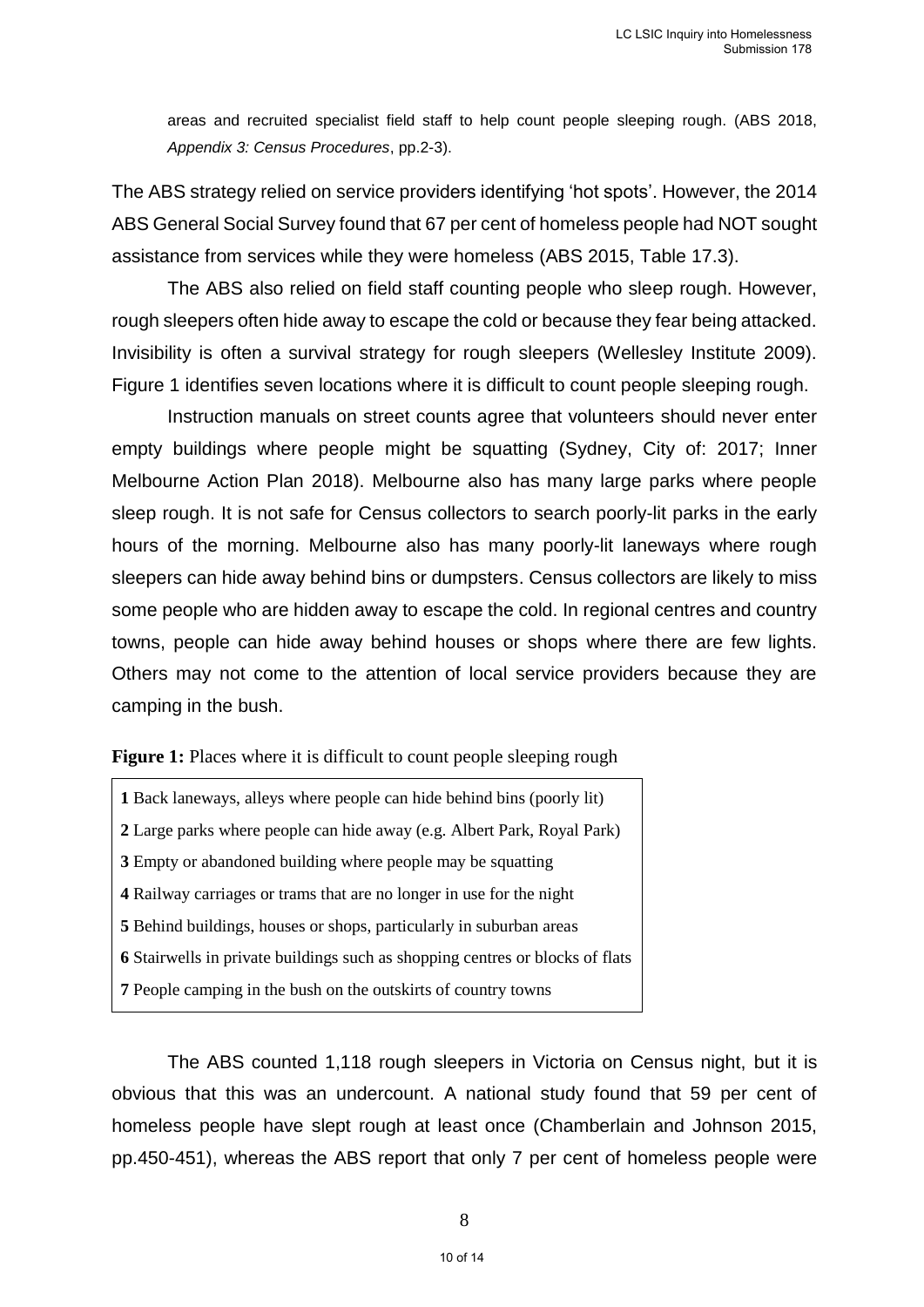areas and recruited specialist field staff to help count people sleeping rough. (ABS 2018, *Appendix 3: Census Procedures*, pp.2-3).

The ABS strategy relied on service providers identifying 'hot spots'. However, the 2014 ABS General Social Survey found that 67 per cent of homeless people had NOT sought assistance from services while they were homeless (ABS 2015, Table 17.3).

The ABS also relied on field staff counting people who sleep rough. However, rough sleepers often hide away to escape the cold or because they fear being attacked. Invisibility is often a survival strategy for rough sleepers (Wellesley Institute 2009). Figure 1 identifies seven locations where it is difficult to count people sleeping rough.

Instruction manuals on street counts agree that volunteers should never enter empty buildings where people might be squatting (Sydney, City of: 2017; Inner Melbourne Action Plan 2018). Melbourne also has many large parks where people sleep rough. It is not safe for Census collectors to search poorly-lit parks in the early hours of the morning. Melbourne also has many poorly-lit laneways where rough sleepers can hide away behind bins or dumpsters. Census collectors are likely to miss some people who are hidden away to escape the cold. In regional centres and country towns, people can hide away behind houses or shops where there are few lights. Others may not come to the attention of local service providers because they are camping in the bush.

**Figure 1:** Places where it is difficult to count people sleeping rough

Back laneways, alleys where people can hide behind bins (poorly lit) Large parks where people can hide away (e.g. Albert Park, Royal Park) Empty or abandoned building where people may be squatting Railway carriages or trams that are no longer in use for the night Behind buildings, houses or shops, particularly in suburban areas Stairwells in private buildings such as shopping centres or blocks of flats People camping in the bush on the outskirts of country towns

The ABS counted 1,118 rough sleepers in Victoria on Census night, but it is obvious that this was an undercount. A national study found that 59 per cent of homeless people have slept rough at least once (Chamberlain and Johnson 2015, pp.450-451), whereas the ABS report that only 7 per cent of homeless people were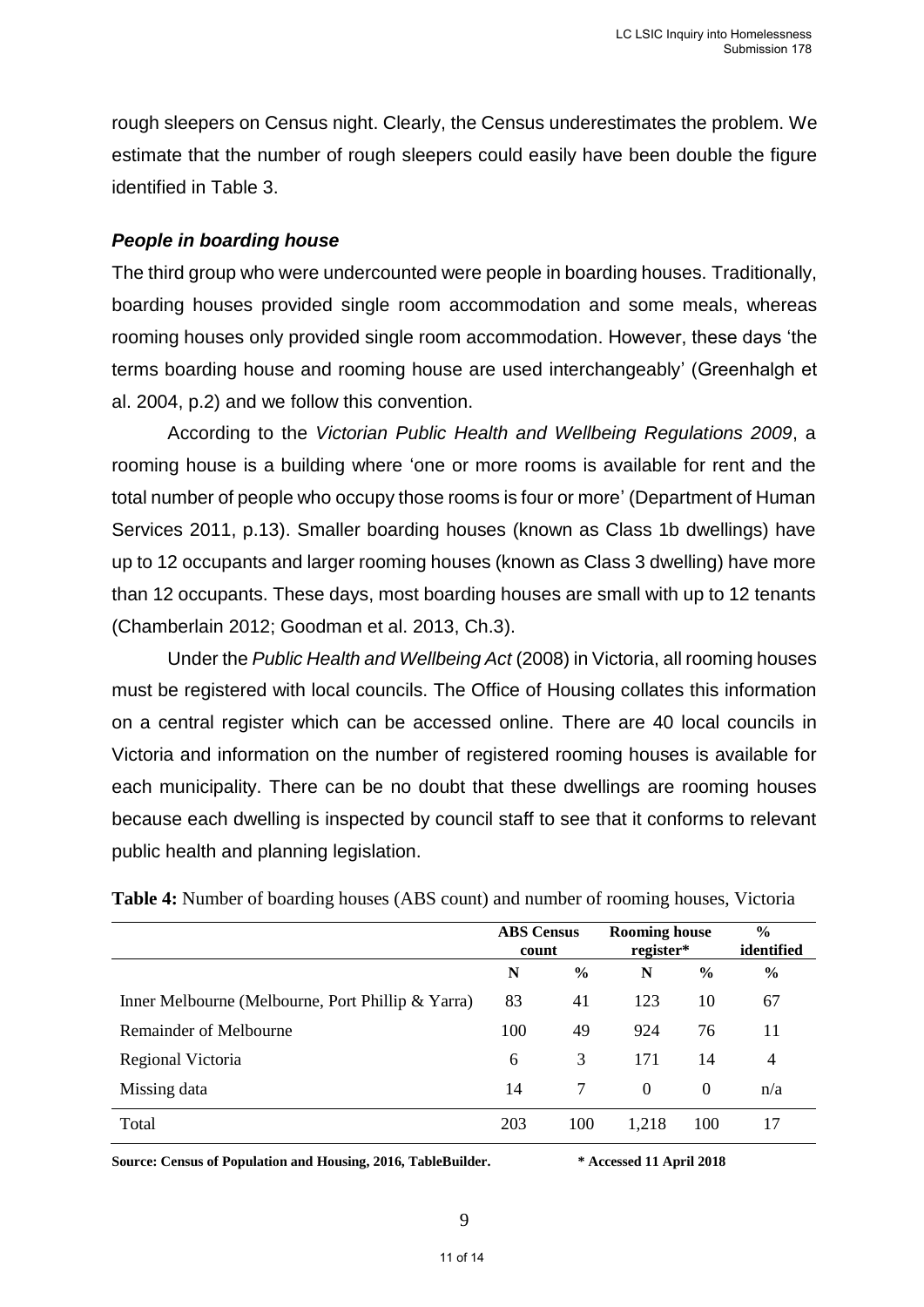rough sleepers on Census night. Clearly, the Census underestimates the problem. We estimate that the number of rough sleepers could easily have been double the figure identified in Table 3.

#### *People in boarding house*

The third group who were undercounted were people in boarding houses. Traditionally, boarding houses provided single room accommodation and some meals, whereas rooming houses only provided single room accommodation. However, these days 'the terms boarding house and rooming house are used interchangeably' (Greenhalgh et al. 2004, p.2) and we follow this convention.

According to the *Victorian Public Health and Wellbeing Regulations 2009*, a rooming house is a building where 'one or more rooms is available for rent and the total number of people who occupy those rooms is four or more' (Department of Human Services 2011, p.13). Smaller boarding houses (known as Class 1b dwellings) have up to 12 occupants and larger rooming houses (known as Class 3 dwelling) have more than 12 occupants. These days, most boarding houses are small with up to 12 tenants (Chamberlain 2012; Goodman et al. 2013, Ch.3).

Under the *Public Health and Wellbeing Act* (2008) in Victoria, all rooming houses must be registered with local councils. The Office of Housing collates this information on a central register which can be accessed online. There are 40 local councils in Victoria and information on the number of registered rooming houses is available for each municipality. There can be no doubt that these dwellings are rooming houses because each dwelling is inspected by council staff to see that it conforms to relevant public health and planning legislation.

|                                                   | <b>ABS Census</b><br>count |               | <b>Rooming house</b><br>register* |               | $\frac{0}{0}$<br>identified |
|---------------------------------------------------|----------------------------|---------------|-----------------------------------|---------------|-----------------------------|
|                                                   | N                          | $\frac{6}{9}$ | N                                 | $\frac{6}{9}$ | $\frac{6}{9}$               |
| Inner Melbourne (Melbourne, Port Phillip & Yarra) | 83                         | 41            | 123                               | 10            | 67                          |
| Remainder of Melbourne                            | 100                        | 49            | 924                               | 76            | 11                          |
| Regional Victoria                                 | 6                          | 3             | 171                               | 14            | $\overline{4}$              |
| Missing data                                      | 14                         | 7             | $\Omega$                          | $\Omega$      | n/a                         |
| Total                                             | 203                        | 100           | 1,218                             | 100           | 17                          |

**Table 4:** Number of boarding houses (ABS count) and number of rooming houses, Victoria

**Source: Census of Population and Housing, 2016, TableBuilder. \* Accessed 11 April 2018**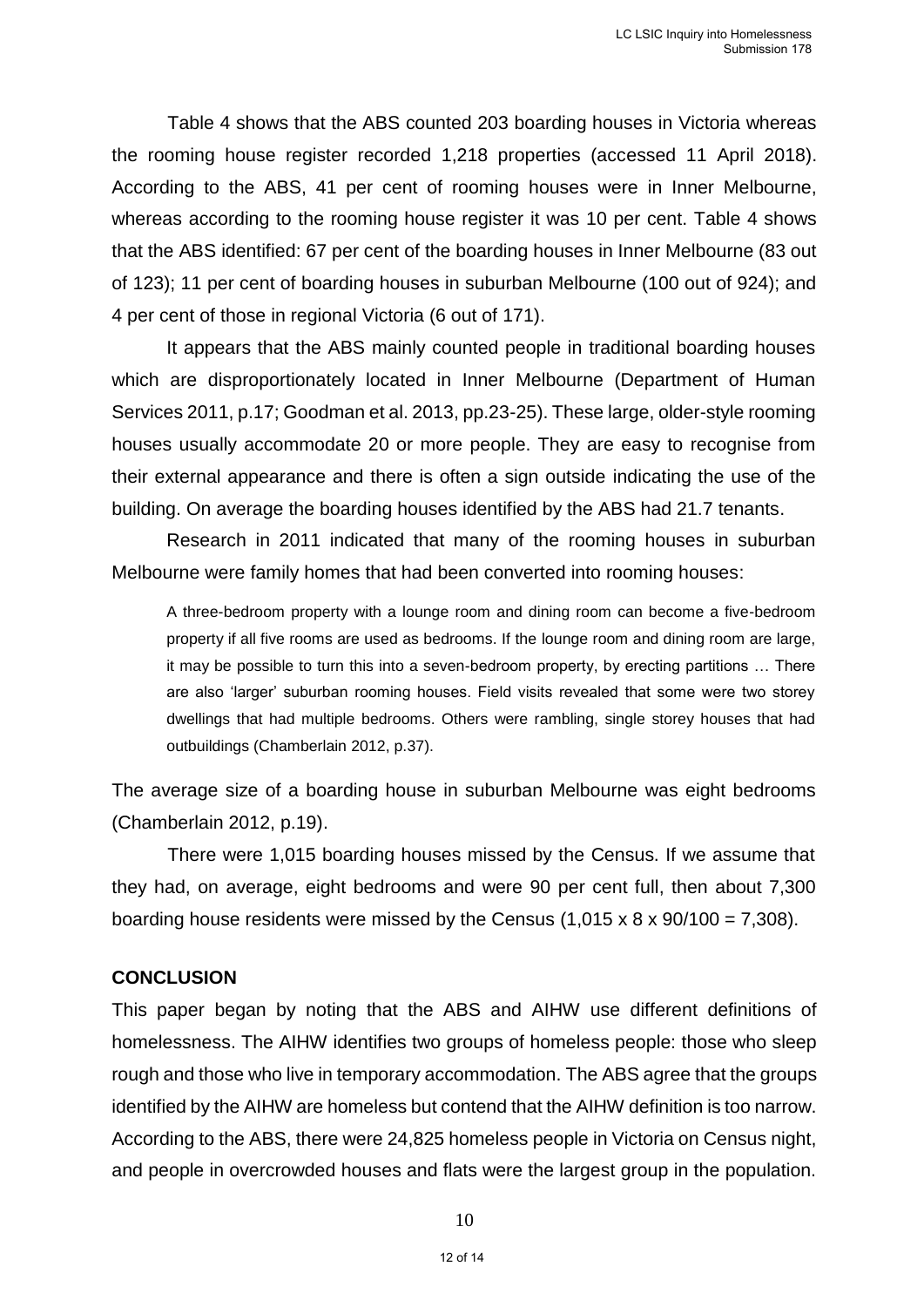Table 4 shows that the ABS counted 203 boarding houses in Victoria whereas the rooming house register recorded 1,218 properties (accessed 11 April 2018). According to the ABS, 41 per cent of rooming houses were in Inner Melbourne, whereas according to the rooming house register it was 10 per cent. Table 4 shows that the ABS identified: 67 per cent of the boarding houses in Inner Melbourne (83 out of 123); 11 per cent of boarding houses in suburban Melbourne (100 out of 924); and 4 per cent of those in regional Victoria (6 out of 171).

It appears that the ABS mainly counted people in traditional boarding houses which are disproportionately located in Inner Melbourne (Department of Human Services 2011, p.17; Goodman et al. 2013, pp.23-25). These large, older-style rooming houses usually accommodate 20 or more people. They are easy to recognise from their external appearance and there is often a sign outside indicating the use of the building. On average the boarding houses identified by the ABS had 21.7 tenants.

Research in 2011 indicated that many of the rooming houses in suburban Melbourne were family homes that had been converted into rooming houses:

A three-bedroom property with a lounge room and dining room can become a five-bedroom property if all five rooms are used as bedrooms. If the lounge room and dining room are large, it may be possible to turn this into a seven-bedroom property, by erecting partitions … There are also 'larger' suburban rooming houses. Field visits revealed that some were two storey dwellings that had multiple bedrooms. Others were rambling, single storey houses that had outbuildings (Chamberlain 2012, p.37).

The average size of a boarding house in suburban Melbourne was eight bedrooms (Chamberlain 2012, p.19).

There were 1,015 boarding houses missed by the Census. If we assume that they had, on average, eight bedrooms and were 90 per cent full, then about 7,300 boarding house residents were missed by the Census  $(1,015 \times 8 \times 90/100 = 7,308)$ .

#### **CONCLUSION**

This paper began by noting that the ABS and AIHW use different definitions of homelessness. The AIHW identifies two groups of homeless people: those who sleep rough and those who live in temporary accommodation. The ABS agree that the groups identified by the AIHW are homeless but contend that the AIHW definition is too narrow. According to the ABS, there were 24,825 homeless people in Victoria on Census night, and people in overcrowded houses and flats were the largest group in the population.

10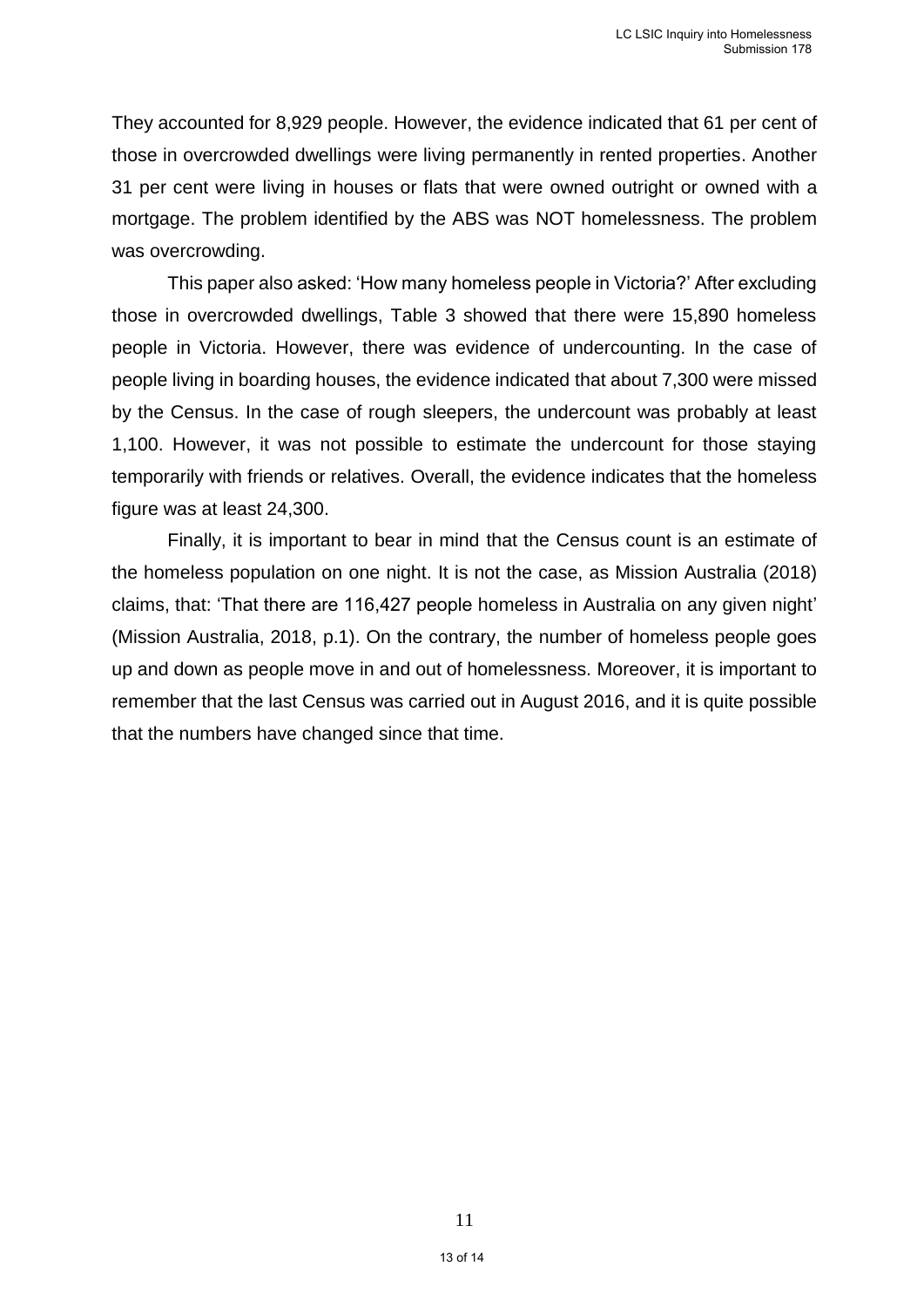They accounted for 8,929 people. However, the evidence indicated that 61 per cent of those in overcrowded dwellings were living permanently in rented properties. Another 31 per cent were living in houses or flats that were owned outright or owned with a mortgage. The problem identified by the ABS was NOT homelessness. The problem was overcrowding.

This paper also asked: 'How many homeless people in Victoria?' After excluding those in overcrowded dwellings, Table 3 showed that there were 15,890 homeless people in Victoria. However, there was evidence of undercounting. In the case of people living in boarding houses, the evidence indicated that about 7,300 were missed by the Census. In the case of rough sleepers, the undercount was probably at least 1,100. However, it was not possible to estimate the undercount for those staying temporarily with friends or relatives. Overall, the evidence indicates that the homeless figure was at least 24,300.

Finally, it is important to bear in mind that the Census count is an estimate of the homeless population on one night. It is not the case, as Mission Australia (2018) claims, that: 'That there are 116,427 people homeless in Australia on any given night' (Mission Australia, 2018, p.1). On the contrary, the number of homeless people goes up and down as people move in and out of homelessness. Moreover, it is important to remember that the last Census was carried out in August 2016, and it is quite possible that the numbers have changed since that time.